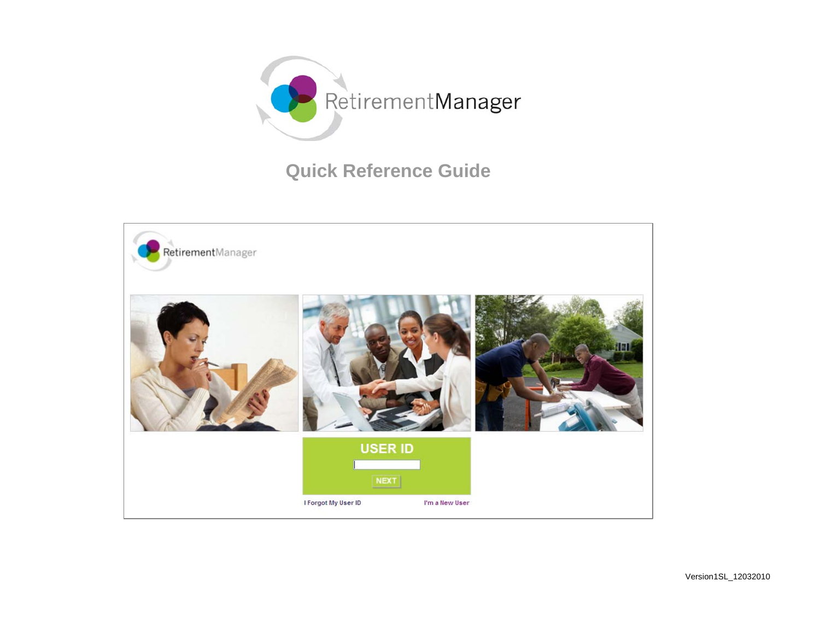

# **Quick Reference Guide**

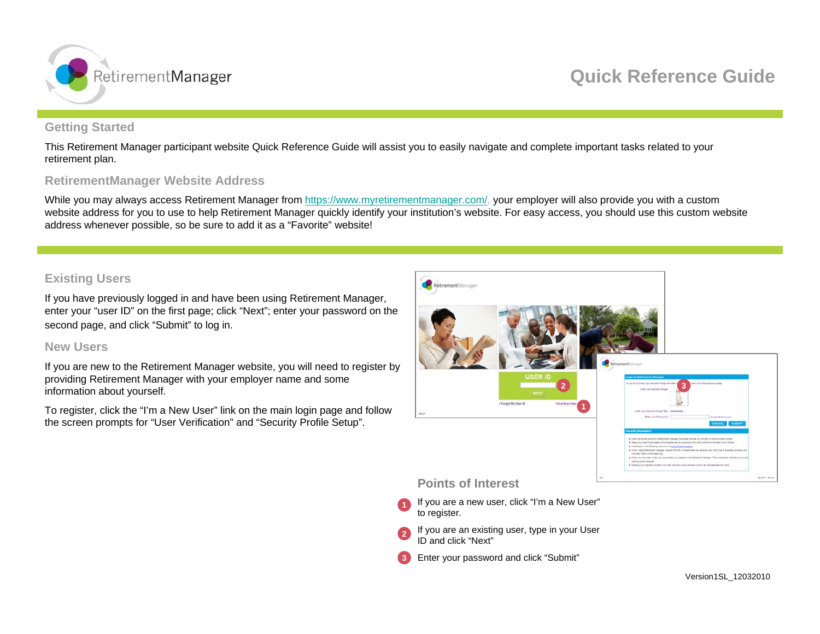

# **Getting Started**

This Retirement Manager participant website Quick Reference Guide will assist you to easily navigate and complete important tasks related to your retirement plan.

# **RetirementManager Website Address**

While you may always access Retirement Manager from <https://www.myretirementmanager.com/>, your employer will also provide you with a custom website address for you to use to help Retirement Manager quickly identify your institution's website. For easy access, you should use this custom website address whenever possible, so be sure to add it as a "Favorite" website!

# **Existing Users**

If you have previously logged in and have been using Retirement Manager, enter your "user ID" on the first page; click "Next"; enter your password on the second page, and click "Submit" to log in.

## **New Users**

If you are new to the Retirement Manager website, you will need to register by providing Retirement Manager with your employer name and some information about yourself.

To register, click the "I'm a New User" link on the main login page and follow the screen prompts for "User Verification" and "Security Profile Setup".



- If you are a new user, click "I'm a New User" to register. **1**
- If you are an existing user, type in your User ID and click "Next"**2**
- Enter your password and click "Submit" **3**